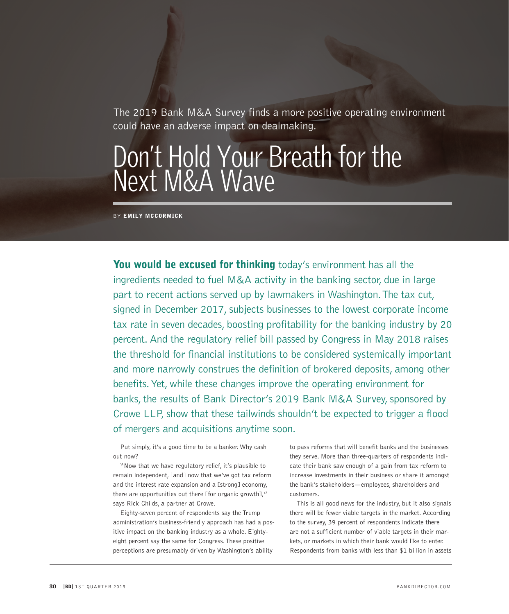The 2019 Bank M&A Survey finds a more positive operating environment could have an adverse impact on dealmaking.

# Don't Hold Your Breath for the Next M&A Wave

**BY EMILY MCCORMICK** 

You would be excused for thinking today's environment has all the ingredients needed to fuel M&A activity in the banking sector, due in large part to recent actions served up by lawmakers in Washington. The tax cut, signed in December 2017, subjects businesses to the lowest corporate income tax rate in seven decades, boosting profitability for the banking industry by 20 percent. And the regulatory relief bill passed by Congress in May 2018 raises the threshold for financial institutions to be considered systemically important and more narrowly construes the definition of brokered deposits, among other benefits. Yet, while these changes improve the operating environment for banks, the results of Bank Director's 2019 Bank M&A Survey, sponsored by Crowe LLP, show that these tailwinds shouldn't be expected to trigger a flood of mergers and acquisitions anytime soon.

Put simply, it's a good time to be a banker. Why cash out now?

"Now that we have regulatory relief, it's plausible to remain independent, [and] now that we've got tax reform and the interest rate expansion and a [strong] economy, there are opportunities out there [for organic growth]," says Rick Childs, a partner at Crowe.

Eighty-seven percent of respondents say the Trump administration's business-friendly approach has had a positive impact on the banking industry as a whole. Eightyeight percent say the same for Congress. These positive perceptions are presumably driven by Washington's ability

to pass reforms that will benefit banks and the businesses they serve. More than three-quarters of respondents indicate their bank saw enough of a gain from tax reform to increase investments in their business or share it amongst the bank's stakeholders—employees, shareholders and customers.

This is all good news for the industry, but it also signals there will be fewer viable targets in the market. According to the survey, 39 percent of respondents indicate there are not a sufficient number of viable targets in their markets, or markets in which their bank would like to enter. Respondents from banks with less than \$1 billion in assets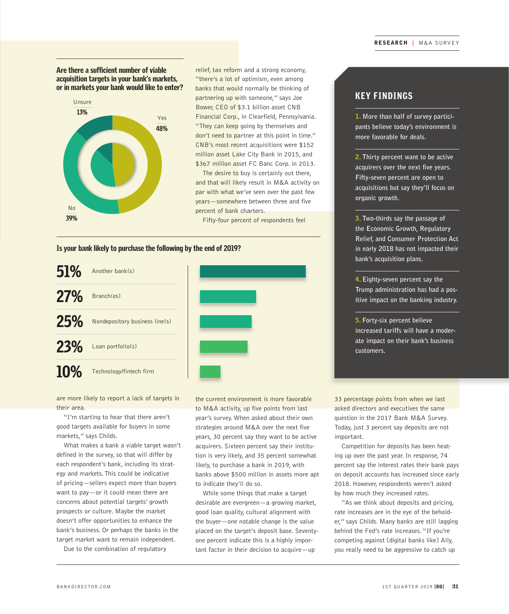#### Are there a sufficient number of viable acquisition targets in your bank's markets, or in markets your bank would like to enter?



relief, tax reform and a strong economy, "there's a lot of optimism, even among banks that would normally be thinking of partnering up with someone," says Joe Bower, CEO of \$3.1 billion asset CNB Financial Corp., in Clearfield, Pennsylvania. "They can keep going by themselves and don't need to partner at this point in time." CNB's most recent acquisitions were \$152 million asset Lake City Bank in 2015, and \$367 million asset FC Banc Corp. in 2013.

The desire to buy is certainly out there, and that will likely result in M&A activity on par with what we've seen over the past few years—somewhere between three and five percent of bank charters.

Fifty-four percent of respondents feel

#### Is your bank likely to purchase the following by the end of 2019?





"I'm starting to hear that there aren't good targets available for buyers in some markets," says Childs.

What makes a bank a viable target wasn't defined in the survey, so that will differ by each respondent's bank, including its strategy and markets. This could be indicative of pricing—sellers expect more than buyers want to pay—or it could mean there are concerns about potential targets' growth prospects or culture. Maybe the market doesn't offer opportunities to enhance the bank's business. Or perhaps the banks in the target market want to remain independent.

Due to the combination of regulatory

the current environment is more favorable to M&A activity, up five points from last year's survey. When asked about their own strategies around M&A over the next five years, 30 percent say they want to be active acquirers. Sixteen percent say their institution is very likely, and 35 percent somewhat likely, to purchase a bank in 2019, with banks above \$500 million in assets more apt to indicate they'll do so.

While some things that make a target desirable are evergreen—a growing market, good loan quality, cultural alignment with the buyer—one notable change is the value placed on the target's deposit base. Seventyone percent indicate this is a highly important factor in their decision to acquire—up

### KEY FINDINGS

1. **More than half of survey participants believe today's environment is more favorable for deals.**

2. **Thirty percent want to be active acquirers over the next five years. Fifty-seven percent are open to acquisitions but say they'll focus on organic growth.** 

3. **Two-thirds say the passage of the Economic Growth, Regulatory Relief, and Consumer Protection Act in early 2018 has not impacted their bank's acquisition plans.**

4. **Eighty-seven percent say the Trump administration has had a positive impact on the banking industry.** 

5. **Forty-six percent believe increased tariffs will have a moderate impact on their bank's business customers.**

33 percentage points from when we last asked directors and executives the same question in the 2017 Bank M&A Survey. Today, just 3 percent say deposits are not important.

Competition for deposits has been heating up over the past year. In response, 74 percent say the interest rates their bank pays on deposit accounts has increased since early 2018. However, respondents weren't asked by how much they increased rates.

"As we think about deposits and pricing, rate increases are in the eye of the beholder," says Childs. Many banks are still lagging behind the Fed's rate increases. "If you're competing against [digital banks like] Ally, you really need to be aggressive to catch up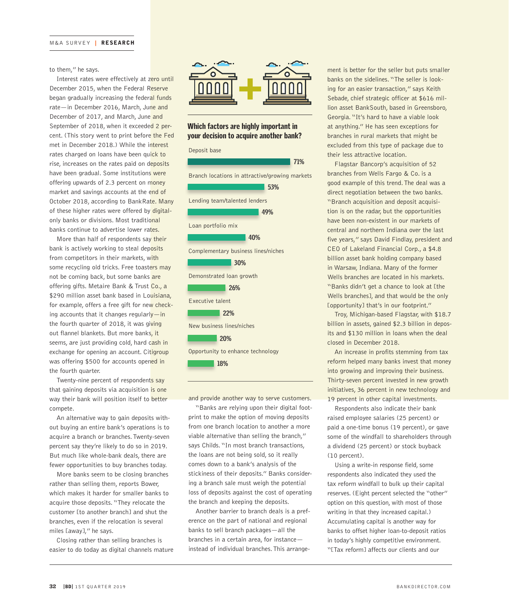#### to them," he says.

Interest rates were effectively at zero until December 2015, when the Federal Reserve began gradually increasing the federal funds rate—in December 2016, March, June and December of 2017, and March, June and September of 2018, when it exceeded 2 percent. (This story went to print before the Fed met in December 2018.) While the interest rates charged on loans have been quick to rise, increases on the rates paid on deposits have been gradual. Some institutions were offering upwards of 2.3 percent on money market and savings accounts at the end of October 2018, according to BankRate. Many of these higher rates were offered by digitalonly banks or divisions. Most traditional banks continue to advertise lower rates.

More than half of respondents say their bank is actively working to steal deposits from competitors in their markets, with some recycling old tricks. Free toasters may not be coming back, but some banks are offering gifts. Metaire Bank & Trust Co., a \$290 million asset bank based in Louisiana, for example, offers a free gift for new checking accounts that it changes regularly-in the fourth quarter of 2018, it was giving out flannel blankets. But more banks, it seems, are just providing cold, hard cash in exchange for opening an account. Citigroup was offering \$500 for accounts opened in the fourth quarter.

Twenty-nine percent of respondents say that gaining deposits via acquisition is one way their bank will position itself to better compete.

An alternative way to gain deposits without buying an entire bank's operations is to acquire a branch or branches. Twenty-seven percent say they're likely to do so in 2019. But much like whole-bank deals, there are fewer opportunities to buy branches today.

More banks seem to be closing branches rather than selling them, reports Bower, which makes it harder for smaller banks to acquire those deposits. "They relocate the customer [to another branch] and shut the branches, even if the relocation is several miles [away]," he says.

Closing rather than selling branches is easier to do today as digital channels mature



#### Which factors are highly important in your decision to acquire another bank?



and provide another way to serve customers.

"Banks are relying upon their digital footprint to make the option of moving deposits from one branch location to another a more viable alternative than selling the branch," says Childs. "In most branch transactions, the loans are not being sold, so it really comes down to a bank's analysis of the stickiness of their deposits." Banks considering a branch sale must weigh the potential loss of deposits against the cost of operating the branch and keeping the deposits.

Another barrier to branch deals is a preference on the part of national and regional banks to sell branch packages—all the branches in a certain area, for instance instead of individual branches. This arrangement is better for the seller but puts smaller banks on the sidelines. "The seller is looking for an easier transaction," says Keith Sebade, chief strategic officer at \$616 million asset BankSouth, based in Greensboro, Georgia. "It's hard to have a viable look at anything." He has seen exceptions for branches in rural markets that might be excluded from this type of package due to their less attractive location.

Flagstar Bancorp's acquisition of 52 branches from Wells Fargo & Co. is a good example of this trend. The deal was a direct negotiation between the two banks. "Branch acquisition and deposit acquisition is on the radar, but the opportunities have been non-existent in our markets of central and northern Indiana over the last five years," says David Findlay, president and CEO of Lakeland Financial Corp., a \$4.8 billion asset bank holding company based in Warsaw, Indiana. Many of the former Wells branches are located in his markets. "Banks didn't get a chance to look at [the Wells branches], and that would be the only [opportunity] that's in our footprint."

Troy, Michigan-based Flagstar, with \$18.7 billion in assets, gained \$2.3 billion in deposits and \$130 million in loans when the deal closed in December 2018.

An increase in profits stemming from tax reform helped many banks invest that money into growing and improving their business. Thirty-seven percent invested in new growth initiatives, 36 percent in new technology and 19 percent in other capital investments.

Respondents also indicate their bank raised employee salaries (25 percent) or paid a one-time bonus (19 percent), or gave some of the windfall to shareholders through a dividend (25 percent) or stock buyback (10 percent).

Using a write-in response field, some respondents also indicated they used the tax reform windfall to bulk up their capital reserves. (Eight percent selected the "other" option on this question, with most of those writing in that they increased capital.) Accumulating capital is another way for banks to offset higher loan-to-deposit ratios in today's highly competitive environment. "[Tax reform] affects our clients and our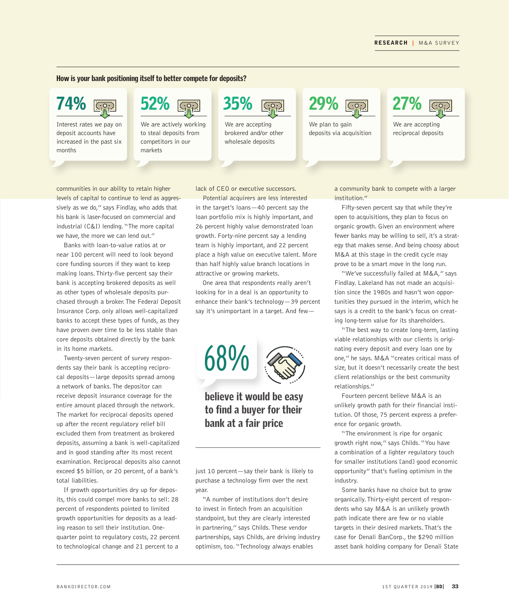#### How is your bank positioning itself to better compete for deposits?



Interest rates we pay on deposit accounts have increased in the past six months



We are actively working to steal deposits from competitors in our markets

We are accepting brokered and/or other wholesale deposits



We plan to gain deposits via acquisition



We are accepting reciprocal deposits

communities in our ability to retain higher levels of capital to continue to lend as aggressively as we do," says Findlay, who adds that his bank is laser-focused on commercial and industrial (C&I) lending. "The more capital we have, the more we can lend out."

Banks with loan-to-value ratios at or near 100 percent will need to look beyond core funding sources if they want to keep making loans. Thirty-five percent say their bank is accepting brokered deposits as well as other types of wholesale deposits purchased through a broker. The Federal Deposit Insurance Corp. only allows well-capitalized banks to accept these types of funds, as they have proven over time to be less stable than core deposits obtained directly by the bank in its home markets.

Twenty-seven percent of survey respondents say their bank is accepting reciprocal deposits—large deposits spread among a network of banks. The depositor can receive deposit insurance coverage for the entire amount placed through the network. The market for reciprocal deposits opened up after the recent regulatory relief bill excluded them from treatment as brokered deposits, assuming a bank is well-capitalized and in good standing after its most recent examination. Reciprocal deposits also cannot exceed \$5 billion, or 20 percent, of a bank's total liabilities.

If growth opportunities dry up for deposits, this could compel more banks to sell: 28 percent of respondents pointed to limited growth opportunities for deposits as a leading reason to sell their institution. Onequarter point to regulatory costs, 22 percent to technological change and 21 percent to a

lack of CEO or executive successors.

Potential acquirers are less interested in the target's loans—40 percent say the loan portfolio mix is highly important, and 26 percent highly value demonstrated loan growth. Forty-nine percent say a lending team is highly important, and 22 percent place a high value on executive talent. More than half highly value branch locations in attractive or growing markets.

One area that respondents really aren't looking for in a deal is an opportunity to enhance their bank's technology—39 percent say it's unimportant in a target. And few—



## believe it would be easy to find a buyer for their bank at a fair price

just 10 percent—say their bank is likely to purchase a technology firm over the next year.

"A number of institutions don't desire to invest in fintech from an acquisition standpoint, but they are clearly interested in partnering," says Childs. These vendor partnerships, says Childs, are driving industry optimism, too. "Technology always enables

a community bank to compete with a larger institution."

Fifty-seven percent say that while they're open to acquisitions, they plan to focus on organic growth. Given an environment where fewer banks may be willing to sell, it's a strategy that makes sense. And being choosy about M&A at this stage in the credit cycle may prove to be a smart move in the long run.

"We've successfully failed at M&A," says Findlay. Lakeland has not made an acquisition since the 1980s and hasn't won opportunities they pursued in the interim, which he says is a credit to the bank's focus on creating long-term value for its shareholders.

"The best way to create long-term, lasting viable relationships with our clients is originating every deposit and every loan one by one," he says. M&A "creates critical mass of size, but it doesn't necessarily create the best client relationships or the best community relationships."

Fourteen percent believe M&A is an unlikely growth path for their financial institution. Of those, 75 percent express a preference for organic growth.

"The environment is ripe for organic growth right now," says Childs. "You have a combination of a lighter regulatory touch for smaller institutions [and] good economic opportunity" that's fueling optimism in the industry.

Some banks have no choice but to grow organically. Thirty-eight percent of respondents who say M&A is an unlikely growth path indicate there are few or no viable targets in their desired markets. That's the case for Denali BanCorp., the \$290 million asset bank holding company for Denali State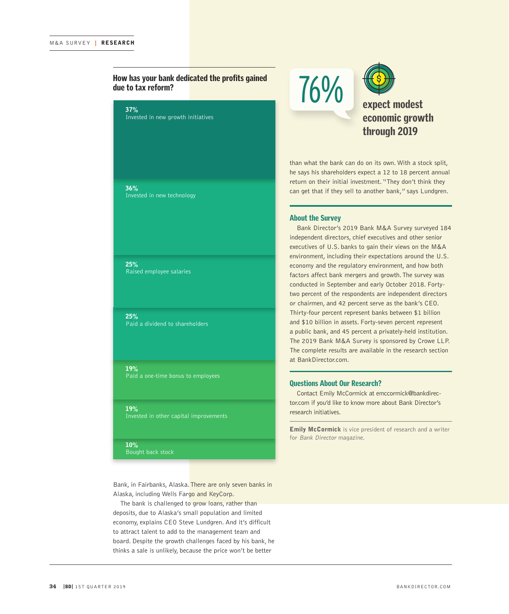#### How has your bank dedicated the profits gained due to tax reform?

37% Invested in new growth initiatives

36% Invested in new technology

25% Raised employee salaries

25% Paid a dividend to shareholders

19% Paid a one-time bonus to employees

19% Invested in other capital improvements

10%

Bought back stock

Bank, in Fairbanks, Alaska. There are only seven banks in Alaska, including Wells Fargo and KeyCorp.

The bank is challenged to grow loans, rather than deposits, due to Alaska's small population and limited economy, explains CEO Steve Lundgren. And it's difficult to attract talent to add to the management team and board. Despite the growth challenges faced by his bank, he thinks a sale is unlikely, because the price won't be better





expect modest economic growth through 2019

than what the bank can do on its own. With a stock split, he says his shareholders expect a 12 to 18 percent annual return on their initial investment. "They don't think they can get that if they sell to another bank," says Lundgren.

#### About the Survey

Bank Director's 2019 Bank M&A Survey surveyed 184 independent directors, chief executives and other senior executives of U.S. banks to gain their views on the M&A environment, including their expectations around the U.S. economy and the regulatory environment, and how both factors affect bank mergers and growth. The survey was conducted in September and early October 2018. Fortytwo percent of the respondents are independent directors or chairmen, and 42 percent serve as the bank's CEO. Thirty-four percent represent banks between \$1 billion and \$10 billion in assets. Forty-seven percent represent a public bank, and 45 percent a privately-held institution. The 2019 Bank M&A Survey is sponsored by Crowe LLP. The complete results are available in the research section at BankDirector.com.

#### Questions About Our Research?

Contact Emily McCormick at emccormick@bankdirector.com if you'd like to know more about Bank Director's research initiatives.

**Emily McCormick** is vice president of research and a writer for Bank Director magazine.